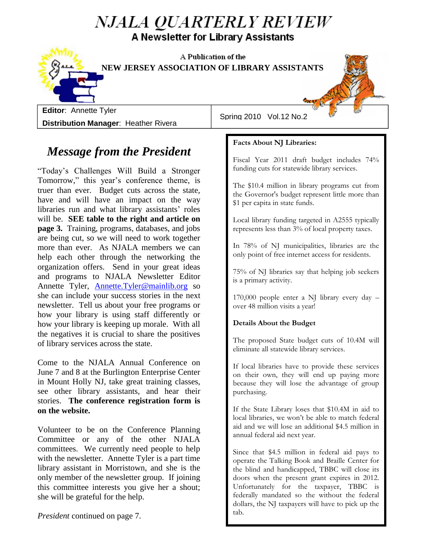## NJALA QUARTERLY REVIEW A Newsletter for Library Assistants

 $\mathbf{h}$  of the staff different is using staff different or  $\mathbf{h}$ NEW JERSEY ASSOCIATION OF LIBRARY ASSISTANTS



**Editor**: Annette Tyler **Distribution Manager**: Heather Rivera

Spring 2010 Vol.12 No.2

### *Message from the President*

"Today's Challenges Will Build a Stronger Tomorrow," this year's conference theme, is truer than ever. Budget cuts across the state, have and will have an impact on the way libraries run and what library assistants' roles will be. **SEE table to the right and article on page 3.** Training, programs, databases, and jobs are being cut, so we will need to work together more than ever. As NJALA members we can help each other through the networking the organization offers. Send in your great ideas and programs to NJALA Newsletter Editor Annette Tyler, [Annette.Tyler@mainlib.org](mailto:Annette.Tyler@mainlib.org) so she can include your success stories in the next newsletter. Tell us about your free programs or how your library is using staff differently or how your library is keeping up morale. With all the negatives it is crucial to share the positives of library services across the state.

Come to the NJALA Annual Conference on June 7 and 8 at the Burlington Enterprise Center in Mount Holly NJ, take great training classes, see other library assistants, and hear their stories. **The conference registration form is on the website.**

Volunteer to be on the Conference Planning Committee or any of the other NJALA committees. We currently need people to help with the newsletter. Annette Tyler is a part time library assistant in Morristown, and she is the only member of the newsletter group. If joining this committee interests you give her a shout; she will be grateful for the help.

*President* continued on page 7.

**Facts About NJ Libraries:**

of library services across the state.

Fiscal Year 2011 draft budget includes 74% funding cuts for statewide library services.

 $t_{\rm eff}$  is contributed it is contributed to share the positives it is contributed to share the positives in the positive state of  $\sim$ 

The \$10.4 million in library programs cut from the Governor's budget represent little more than \$1 per capita in state funds.

Local library funding targeted in A2555 typically represents less than 3% of local property taxes.

In 78% of NJ municipalities, libraries are the only point of free internet access for residents.

75% of NJ libraries say that helping job seekers is a primary activity.

170,000 people enter a NJ library every day – over 48 million visits a year!

### **Details About the Budget**

The proposed State budget cuts of 10.4M will eliminate all statewide library services.

If local libraries have to provide these services on their own, they will end up paying more because they will lose the advantage of group purchasing.

If the State Library loses that \$10.4M in aid to local libraries, we won't be able to match federal aid and we will lose an additional \$4.5 million in annual federal aid next year.

Since that \$4.5 million in federal aid pays to operate the Talking Book and Braille Center for the blind and handicapped, TBBC will close its doors when the present grant expires in 2012. Unfortunately for the taxpayer, TBBC is federally mandated so the without the federal dollars, the NJ taxpayers will have to pick up the tab.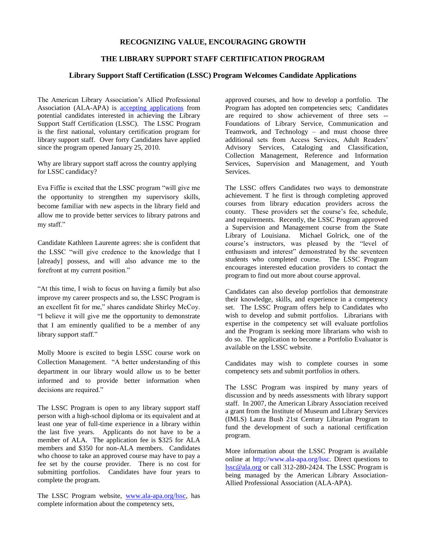#### **RECOGNIZING VALUE, ENCOURAGING GROWTH**

#### **THE LIBRARY SUPPORT STAFF CERTIFICATION PROGRAM**

#### **Library Support Staff Certification (LSSC) Program Welcomes Candidate Applications**

The American Library Association's Allied Professional Association (ALA-APA) is [accepting applications](https://www.livetext.com/ltforms/ala) from potential candidates interested in achieving the Library Support Staff Certification (LSSC). The LSSC Program is the first national, voluntary certification program for library support staff. Over forty Candidates have applied since the program opened January 25, 2010.

Why are library support staff across the country applying for LSSC candidacy?

Eva Fiffie is excited that the LSSC program "will give me the opportunity to strengthen my supervisory skills, become familiar with new aspects in the library field and allow me to provide better services to library patrons and my staff."

Candidate Kathleen Laurente agrees: she is confident that the LSSC "will give credence to the knowledge that I [already] possess, and will also advance me to the forefront at my current position."

"At this time, I wish to focus on having a family but also improve my career prospects and so, the LSSC Program is an excellent fit for me," shares candidate Shirley McCoy. "I believe it will give me the opportunity to demonstrate that I am eminently qualified to be a member of any library support staff."

Molly Moore is excited to begin LSSC course work on Collection Management. "A better understanding of this department in our library would allow us to be better informed and to provide better information when decisions are required."

The LSSC Program is open to any library support staff person with a high-school diploma or its equivalent and at least one year of full-time experience in a library within the last five years. Applicants do not have to be a member of ALA. The application fee is \$325 for ALA members and \$350 for non-ALA members. Candidates who choose to take an approved course may have to pay a fee set by the course provider. There is no cost for submitting portfolios. Candidates have four years to complete the program.

The LSSC Program website, [www.ala-apa.org/lssc,](http://www.ala-apa.org/lssc) has complete information about the competency sets,

approved courses, and how to develop a portfolio. The Program has adopted ten competencies sets; Candidates are required to show achievement of three sets -- Foundations of Library Service, Communication and Teamwork, and Technology – and must choose three additional sets from Access Services, Adult Readers' Advisory Services, Cataloging and Classification, Collection Management, Reference and Information Services, Supervision and Management, and Youth Services.

The LSSC offers Candidates two ways to demonstrate achievement. T he first is through completing approved courses from library education providers across the county. These providers set the course's fee, schedule, and requirements. Recently, the LSSC Program approved a Supervision and Management course from the State Library of Louisiana. Michael Golrick, one of the course's instructors, was pleased by the "level of enthusiasm and interest" demonstrated by the seventeen students who completed course. The LSSC Program encourages interested education providers to contact the program to find out more about course approval.

Candidates can also develop portfolios that demonstrate their knowledge, skills, and experience in a competency set. The LSSC Program offers help to Candidates who wish to develop and submit portfolios. Librarians with expertise in the competency set will evaluate portfolios and the Program is seeking more librarians who wish to do so. The application to become a Portfolio Evaluator is available on the LSSC website.

Candidates may wish to complete courses in some competency sets and submit portfolios in others.

The LSSC Program was inspired by many years of discussion and by needs assessments with library support staff. In 2007, the American Library Association received a grant from the Institute of Museum and Library Services (IMLS) Laura Bush 21st Century Librarian Program to fund the development of such a national certification program.

More information about the LSSC Program is available online at http://www.ala-apa.org/lssc. Direct questions to [lssc@ala.org](mailto:lssc@ala.org) or call 312-280-2424. The LSSC Program is being managed by the American Library Association-Allied Professional Association (ALA-APA).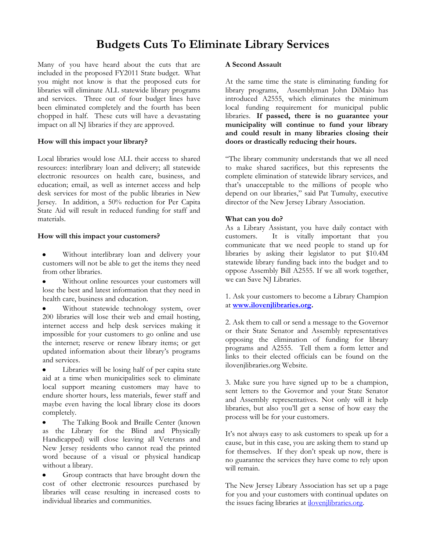### **Budgets Cuts To Eliminate Library Services**

Many of you have heard about the cuts that are included in the proposed FY2011 State budget. What you might not know is that the proposed cuts for libraries will eliminate ALL statewide library programs and services. Three out of four budget lines have been eliminated completely and the fourth has been chopped in half. These cuts will have a devastating impact on all NJ libraries if they are approved.

#### **How will this impact your library?**

Local libraries would lose ALL their access to shared resources: interlibrary loan and delivery; all statewide electronic resources on health care, business, and education; email, as well as internet access and help desk services for most of the public libraries in New Jersey. In addition, a 50% reduction for Per Capita State Aid will result in reduced funding for staff and materials.

#### **How will this impact your customers?**

Without interlibrary loan and delivery your  $\bullet$ customers will not be able to get the items they need from other libraries.

Without online resources your customers will lose the best and latest information that they need in health care, business and education.

Without statewide technology system, over 200 libraries will lose their web and email hosting, internet access and help desk services making it impossible for your customers to go online and use the internet; reserve or renew library items; or get updated information about their library's programs and services.

 $\bullet$ Libraries will be losing half of per capita state aid at a time when municipalities seek to eliminate local support meaning customers may have to endure shorter hours, less materials, fewer staff and maybe even having the local library close its doors completely.

 $\bullet$ The Talking Book and Braille Center (known as the Library for the Blind and Physically Handicapped) will close leaving all Veterans and New Jersey residents who cannot read the printed word because of a visual or physical handicap without a library.

Group contracts that have brought down the cost of other electronic resources purchased by libraries will cease resulting in increased costs to individual libraries and communities.

#### **A Second Assault**

At the same time the state is eliminating funding for library programs, Assemblyman John DiMaio has introduced A2555, which eliminates the minimum local funding requirement for municipal public libraries. **If passed, there is no guarantee your municipality will continue to fund your library and could result in many libraries closing their doors or drastically reducing their hours.**

"The library community understands that we all need to make shared sacrifices, but this represents the complete elimination of statewide library services, and that's unacceptable to the millions of people who depend on our libraries," said Pat Tumulty, executive director of the New Jersey Library Association.

#### **What can you do?**

As a Library Assistant, you have daily contact with customers. It is vitally important that you communicate that we need people to stand up for libraries by asking their legislator to put \$10.4M statewide library funding back into the budget and to oppose Assembly Bill A2555. If we all work together, we can Save NJ Libraries.

1. Ask your customers to become a Library Champion at **[www.ilovenjlibraries.org.](http://www.ilovenjlibraries.org/)**

2. Ask them to call or send a message to the Governor or their State Senator and Assembly representatives opposing the elimination of funding for library programs and A2555. Tell them a form letter and links to their elected officials can be found on the ilovenjlibraries.org Website.

3. Make sure you have signed up to be a champion, sent letters to the Governor and your State Senator and Assembly representatives. Not only will it help libraries, but also you'll get a sense of how easy the process will be for your customers.

It's not always easy to ask customers to speak up for a cause, but in this case, you are asking them to stand up for themselves. If they don't speak up now, there is no guarantee the services they have come to rely upon will remain.

The New Jersey Library Association has set up a page for you and your customers with continual updates on the issues facing libraries at *ilovenjlibraries.org*.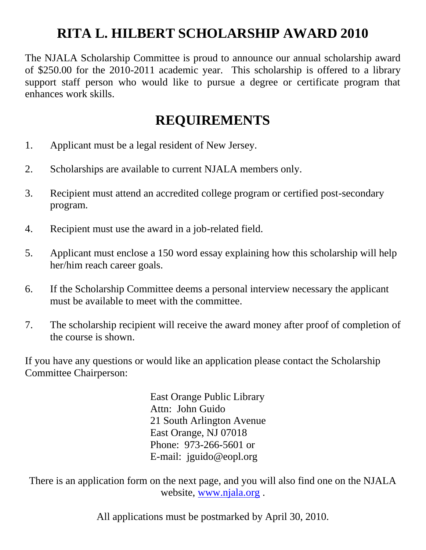## **RITA L. HILBERT SCHOLARSHIP AWARD 2010**

The NJALA Scholarship Committee is proud to announce our annual scholarship award of \$250.00 for the 2010-2011 academic year. This scholarship is offered to a library support staff person who would like to pursue a degree or certificate program that enhances work skills.

### **REQUIREMENTS**

- 1. Applicant must be a legal resident of New Jersey.
- 2. Scholarships are available to current NJALA members only.
- 3. Recipient must attend an accredited college program or certified post-secondary program.
- 4. Recipient must use the award in a job-related field.
- 5. Applicant must enclose a 150 word essay explaining how this scholarship will help her/him reach career goals.
- 6. If the Scholarship Committee deems a personal interview necessary the applicant must be available to meet with the committee.
- 7. The scholarship recipient will receive the award money after proof of completion of the course is shown.

If you have any questions or would like an application please contact the Scholarship Committee Chairperson:

> East Orange Public Library Attn: John Guido 21 South Arlington Avenue East Orange, NJ 07018 Phone: 973-266-5601 or E-mail: jguido@eopl.org

There is an application form on the next page, and you will also find one on the NJALA website, [www.njala.org](http://www.njala.org/) .

All applications must be postmarked by April 30, 2010.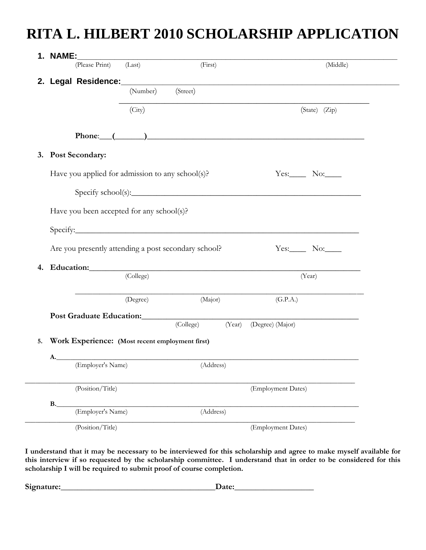# **RITA L. HILBERT 2010 SCHOLARSHIP APPLICATION**

| <b>1. NAME:</b><br><u> 1980 - Andrea Andrew Maria (h. 1980).</u>                                                                                                                                                                     |          |           |        |                                                                                                                                                                                                                               |          |
|--------------------------------------------------------------------------------------------------------------------------------------------------------------------------------------------------------------------------------------|----------|-----------|--------|-------------------------------------------------------------------------------------------------------------------------------------------------------------------------------------------------------------------------------|----------|
| (Please Print) (Last)                                                                                                                                                                                                                |          | (First)   |        |                                                                                                                                                                                                                               | (Middle) |
| 2. Legal Residence: (Number) (Street)                                                                                                                                                                                                |          |           |        |                                                                                                                                                                                                                               |          |
|                                                                                                                                                                                                                                      |          |           |        |                                                                                                                                                                                                                               |          |
| (City)                                                                                                                                                                                                                               |          |           |        | $(State)$ $(Zip)$                                                                                                                                                                                                             |          |
|                                                                                                                                                                                                                                      |          |           |        |                                                                                                                                                                                                                               |          |
|                                                                                                                                                                                                                                      |          |           |        | Phone: $($ and $)$ and $($ and $)$ and $($ and $)$ and $($ and $)$ and $($ and $)$ and $($ and $)$ and $($ and $)$ and $($ and $)$ and $($ and $)$ and $($ and $)$ and $($ and $)$ and $($ and $)$ and $($ and $)$ and $($ an |          |
| 3. Post Secondary:                                                                                                                                                                                                                   |          |           |        |                                                                                                                                                                                                                               |          |
| Have you applied for admission to any school(s)?                                                                                                                                                                                     |          |           |        | $Yes.$ No:                                                                                                                                                                                                                    |          |
|                                                                                                                                                                                                                                      |          |           |        |                                                                                                                                                                                                                               |          |
|                                                                                                                                                                                                                                      |          |           |        | Specify school(s):                                                                                                                                                                                                            |          |
| Have you been accepted for any school(s)?                                                                                                                                                                                            |          |           |        |                                                                                                                                                                                                                               |          |
|                                                                                                                                                                                                                                      |          |           |        |                                                                                                                                                                                                                               |          |
| Specify:                                                                                                                                                                                                                             |          |           |        |                                                                                                                                                                                                                               |          |
| Are you presently attending a post secondary school?                                                                                                                                                                                 |          |           |        | Yes: $\_\_$ No: $\_\_$                                                                                                                                                                                                        |          |
| Education: Note that the set of the set of the set of the set of the set of the set of the set of the set of the set of the set of the set of the set of the set of the set of the set of the set of the set of the set of the<br>4. |          |           |        |                                                                                                                                                                                                                               |          |
| (College)                                                                                                                                                                                                                            |          |           |        | (Year)                                                                                                                                                                                                                        |          |
|                                                                                                                                                                                                                                      |          |           |        |                                                                                                                                                                                                                               |          |
|                                                                                                                                                                                                                                      | (Degree) | (Major)   |        | (G.P.A.)                                                                                                                                                                                                                      |          |
| Post Graduate Education: Manual Contract of Contract Contract of Contract Contract Oriental Contract Oriental Contract Oriental Contract Oriental Contract Oriental Contract Oriental Contract Oriental Contract Oriental Cont       |          |           |        |                                                                                                                                                                                                                               |          |
|                                                                                                                                                                                                                                      |          | (College) | (Year) | (Degree) (Major)                                                                                                                                                                                                              |          |
|                                                                                                                                                                                                                                      |          |           |        |                                                                                                                                                                                                                               |          |
| Work Experience: (Most recent employment first)                                                                                                                                                                                      |          |           |        |                                                                                                                                                                                                                               |          |
| А.                                                                                                                                                                                                                                   |          |           |        |                                                                                                                                                                                                                               |          |
| (Employer's Name)                                                                                                                                                                                                                    |          | (Address) |        |                                                                                                                                                                                                                               |          |
|                                                                                                                                                                                                                                      |          |           |        |                                                                                                                                                                                                                               |          |
| (Position/Title)                                                                                                                                                                                                                     |          |           |        | (Employment Dates)                                                                                                                                                                                                            |          |
| $B_{\cdot}$<br>(Employer's Name)                                                                                                                                                                                                     |          | (Address) |        |                                                                                                                                                                                                                               |          |

**I understand that it may be necessary to be interviewed for this scholarship and agree to make myself available for this interview if so requested by the scholarship committee. I understand that in order to be considered for this scholarship I will be required to submit proof of course completion.**

**Signature:\_\_\_\_\_\_\_\_\_\_\_\_\_\_\_\_\_\_\_\_\_\_\_\_\_\_\_\_\_\_\_\_\_\_\_\_\_Date:\_\_\_\_\_\_\_\_\_\_\_\_\_\_\_\_\_\_\_**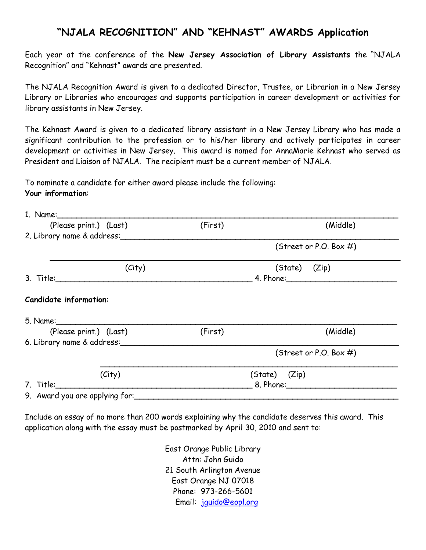### **"NJALA RECOGNITION" AND "KEHNAST" AWARDS Application**

Each year at the conference of the **New Jersey Association of Library Assistants** the "NJALA Recognition" and "Kehnast" awards are presented.

The NJALA Recognition Award is given to a dedicated Director, Trustee, or Librarian in a New Jersey Library or Libraries who encourages and supports participation in career development or activities for library assistants in New Jersey.

The Kehnast Award is given to a dedicated library assistant in a New Jersey Library who has made a significant contribution to the profession or to his/her library and actively participates in career development or activities in New Jersey. This award is named for AnnaMarie Kehnast who served as President and Liaison of NJALA. The recipient must be a current member of NJALA.

To nominate a candidate for either award please include the following: **Your information**:

| (Please print.) (Last)         | (First)        | (Middle)                  |  |  |
|--------------------------------|----------------|---------------------------|--|--|
| 2. Library name & address:     |                |                           |  |  |
|                                |                | (Street or P.O. Box #)    |  |  |
| (City)                         |                | (State) (Zip)             |  |  |
| 3. Title:_______________       |                |                           |  |  |
| <b>Candidate information:</b>  |                |                           |  |  |
| (Please print.) (Last)         | (First)        | (Middle)                  |  |  |
| 6. Library name & address:     |                |                           |  |  |
|                                |                | (Street or P.O. Box $#$ ) |  |  |
| (City)                         | (State) (Zip)  |                           |  |  |
| 7. Title:                      | 8. Phone: 1988 |                           |  |  |
| 9. Award you are applying for: |                |                           |  |  |

Include an essay of no more than 200 words explaining why the candidate deserves this award. This application along with the essay must be postmarked by April 30, 2010 and sent to:

> East Orange Public Library Attn: John Guido 21 South Arlington Avenue East Orange NJ 07018 Phone: 973-266-5601 Email: [jguido@eopl.org](mailto:jguido@eopl.org)